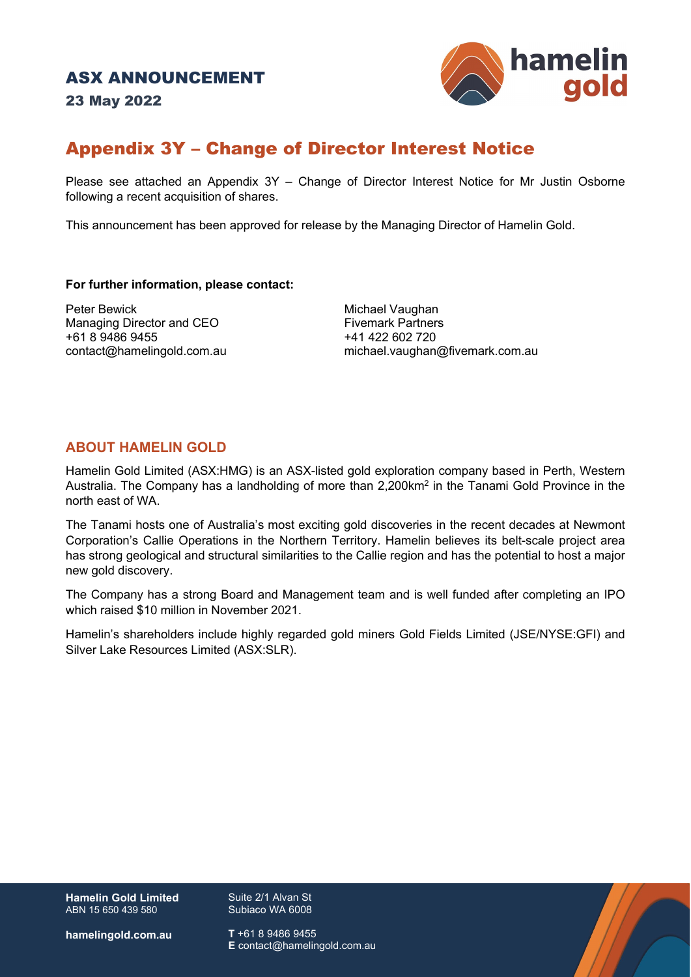23 May 2022



## Appendix 3Y – Change of Director Interest Notice

Please see attached an Appendix 3Y – Change of Director Interest Notice for Mr Justin Osborne following a recent acquisition of shares.

This announcement has been approved for release by the Managing Director of Hamelin Gold.

#### **For further information, please contact:**

Peter Bewick Michael Vaughan Managing Director and CEO<br>+61 8 9486 9455

+41 422 602 720 contact@hamelingold.com.au michael.vaughan@fivemark.com.au

### **ABOUT HAMELIN GOLD**

Hamelin Gold Limited (ASX:HMG) is an ASX-listed gold exploration company based in Perth, Western Australia. The Company has a landholding of more than 2,200km2 in the Tanami Gold Province in the north east of WA.

The Tanami hosts one of Australia's most exciting gold discoveries in the recent decades at Newmont Corporation's Callie Operations in the Northern Territory. Hamelin believes its belt-scale project area has strong geological and structural similarities to the Callie region and has the potential to host a major new gold discovery.

The Company has a strong Board and Management team and is well funded after completing an IPO which raised \$10 million in November 2021.

Hamelin's shareholders include highly regarded gold miners Gold Fields Limited (JSE/NYSE:GFI) and Silver Lake Resources Limited (ASX:SLR).

**Hamelin Gold Limited** ABN 15 650 439 580

Suite 2/1 Alvan St Subiaco WA 6008

**hamelingold.com.au**

**T** +61 8 9486 9455 **E** contact@hamelingold.com.au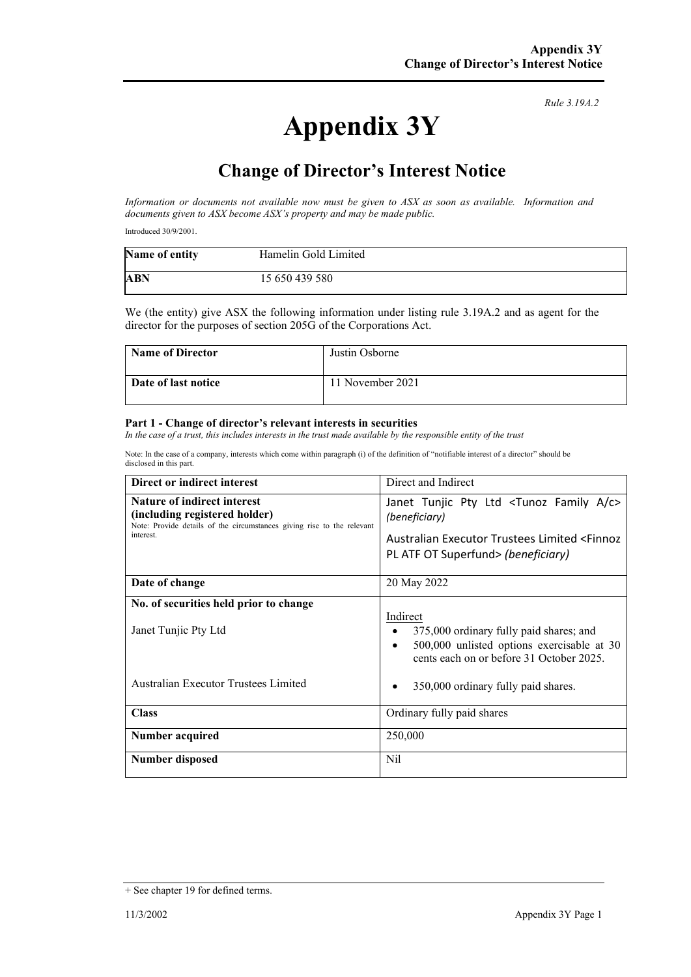*Rule 3.19A.2*

# **Change of Director's Interest Notice**

*Information or documents not available now must be given to ASX as soon as available. Information and documents given to ASX become ASX's property and may be made public.*

Introduced 30/9/2001.

| Name of entity | Hamelin Gold Limited |
|----------------|----------------------|
| ABN            | 15 650 439 580       |

We (the entity) give ASX the following information under listing rule 3.19A.2 and as agent for the director for the purposes of section 205G of the Corporations Act.

| <b>Name of Director</b> | Justin Osborne   |
|-------------------------|------------------|
| Date of last notice     | 11 November 2021 |

#### **Part 1 - Change of director's relevant interests in securities**

*In the case of a trust, this includes interests in the trust made available by the responsible entity of the trust*

Note: In the case of a company, interests which come within paragraph (i) of the definition of "notifiable interest of a director" should be disclosed in this part.

| Direct or indirect interest                                                                                                                                | Direct and Indirect                                                                                                                                                              |
|------------------------------------------------------------------------------------------------------------------------------------------------------------|----------------------------------------------------------------------------------------------------------------------------------------------------------------------------------|
| <b>Nature of indirect interest</b><br>(including registered holder)<br>Note: Provide details of the circumstances giving rise to the relevant<br>interest. | Janet Tunjic Pty Ltd <tunoz a="" c="" family=""><br/>(beneficiary)<br/>Australian Executor Trustees Limited <finnoz<br>PL ATF OT Superfund&gt; (beneficiary)</finnoz<br></tunoz> |
| Date of change                                                                                                                                             | 20 May 2022                                                                                                                                                                      |
| No. of securities held prior to change<br>Janet Tunjic Pty Ltd                                                                                             | Indirect<br>375,000 ordinary fully paid shares; and<br>500,000 unlisted options exercisable at 30<br>cents each on or before 31 October 2025.                                    |
| Australian Executor Trustees Limited                                                                                                                       | 350,000 ordinary fully paid shares.                                                                                                                                              |
| <b>Class</b>                                                                                                                                               | Ordinary fully paid shares                                                                                                                                                       |
| Number acquired                                                                                                                                            | 250,000                                                                                                                                                                          |
| Number disposed                                                                                                                                            | Nil                                                                                                                                                                              |

**Appendix 3Y**

<sup>+</sup> See chapter 19 for defined terms.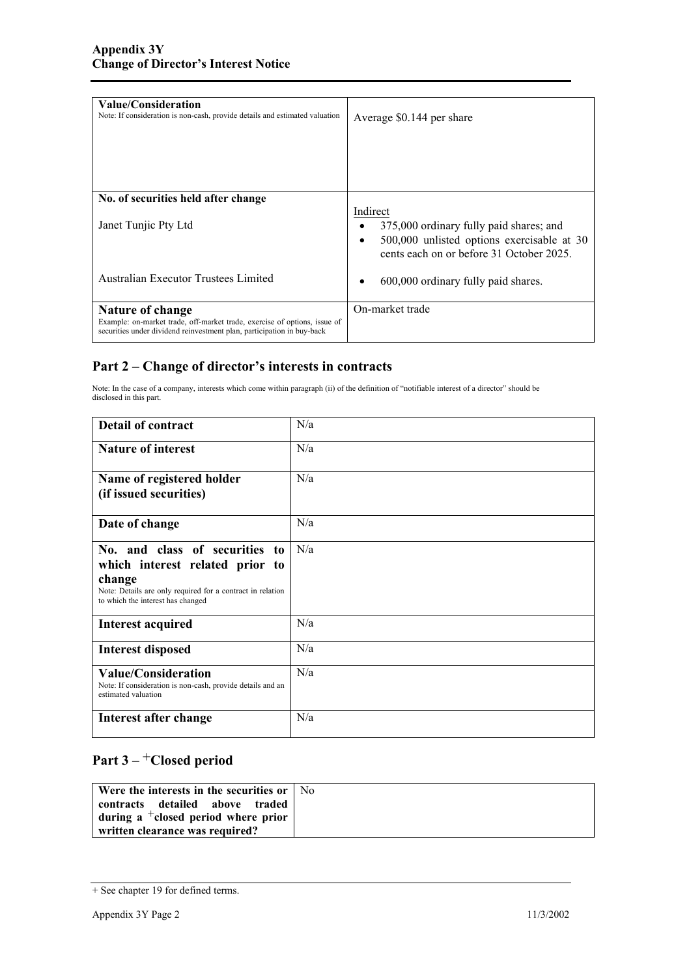| Value/Consideration<br>Note: If consideration is non-cash, provide details and estimated valuation                                                                      | Average \$0.144 per share                                                                                                                     |
|-------------------------------------------------------------------------------------------------------------------------------------------------------------------------|-----------------------------------------------------------------------------------------------------------------------------------------------|
| No. of securities held after change<br>Janet Tunjic Pty Ltd                                                                                                             | Indirect<br>375,000 ordinary fully paid shares; and<br>500,000 unlisted options exercisable at 30<br>cents each on or before 31 October 2025. |
| Australian Executor Trustees Limited                                                                                                                                    | 600,000 ordinary fully paid shares.                                                                                                           |
| Nature of change<br>Example: on-market trade, off-market trade, exercise of options, issue of<br>securities under dividend reinvestment plan, participation in buy-back | On-market trade                                                                                                                               |

### **Part 2 – Change of director's interests in contracts**

Note: In the case of a company, interests which come within paragraph (ii) of the definition of "notifiable interest of a director" should be disclosed in this part.

| <b>Detail of contract</b>                                                                                                                                                      | N/a |
|--------------------------------------------------------------------------------------------------------------------------------------------------------------------------------|-----|
| <b>Nature of interest</b>                                                                                                                                                      | N/a |
| Name of registered holder<br>(if issued securities)                                                                                                                            | N/a |
| Date of change                                                                                                                                                                 | N/a |
| No. and class of securities to<br>which interest related prior to<br>change<br>Note: Details are only required for a contract in relation<br>to which the interest has changed | N/a |
| <b>Interest acquired</b>                                                                                                                                                       | N/a |
| <b>Interest disposed</b>                                                                                                                                                       | N/a |
| <b>Value/Consideration</b><br>Note: If consideration is non-cash, provide details and an<br>estimated valuation                                                                | N/a |
| Interest after change                                                                                                                                                          | N/a |

## **Part 3 –** +**Closed period**

| Were the interests in the securities or   No |  |
|----------------------------------------------|--|
| contracts detailed above traded              |  |
| during a $\pm$ closed period where prior     |  |
| written clearance was required?              |  |

<sup>+</sup> See chapter 19 for defined terms.